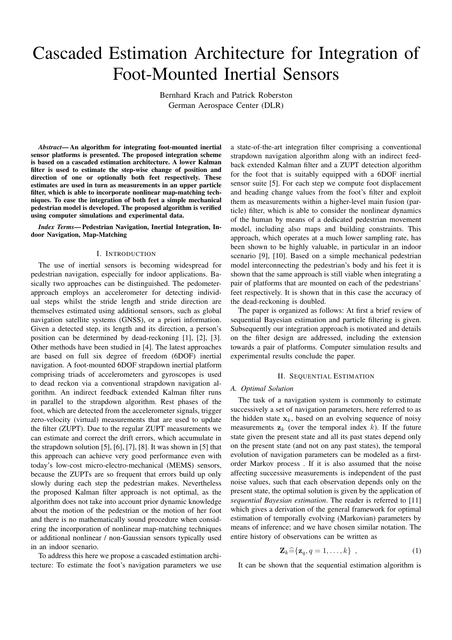# Cascaded Estimation Architecture for Integration of Foot-Mounted Inertial Sensors

Bernhard Krach and Patrick Roberston German Aerospace Center (DLR)

*Abstract***— An algorithm for integrating foot-mounted inertial sensor platforms is presented. The proposed integration scheme is based on a cascaded estimation architecture. A lower Kalman filter is used to estimate the step-wise change of position and direction of one or optionally both feet respectively. These estimates are used in turn as measurements in an upper particle filter, which is able to incorporate nonlinear map-matching techniques. To ease the integration of both feet a simple mechanical pedestrian model is developed. The proposed algorithm is verified using computer simulations and experimental data.**

*Index Terms***— Pedestrian Navigation, Inertial Integration, Indoor Navigation, Map-Matching**

#### I. INTRODUCTION

The use of inertial sensors is becoming widespread for pedestrian navigation, especially for indoor applications. Basically two approaches can be distinguished. The pedometerapproach employs an accelerometer for detecting individual steps whilst the stride length and stride direction are themselves estimated using additional sensors, such as global navigation satellite systems (GNSS), or a priori information. Given a detected step, its length and its direction, a person's position can be determined by dead-reckoning [1], [2], [3]. Other methods have been studied in [4]. The latest approaches are based on full six degree of freedom (6DOF) inertial navigation. A foot-mounted 6DOF strapdown inertial platform comprising triads of accelerometers and gyroscopes is used to dead reckon via a conventional strapdown navigation algorithm. An indirect feedback extended Kalman filter runs in parallel to the strapdown algorithm. Rest phases of the foot, which are detected from the accelerometer signals, trigger zero-velocity (virtual) measurements that are used to update the filter (ZUPT). Due to the regular ZUPT measurements we can estimate and correct the drift errors, which accumulate in the strapdown solution  $[5]$ ,  $[6]$ ,  $[7]$ ,  $[8]$ . It was shown in  $[5]$  that this approach can achieve very good performance even with today's low-cost micro-electro-mechanical (MEMS) sensors, because the ZUPTs are so frequent that errors build up only slowly during each step the pedestrian makes. Nevertheless the proposed Kalman filter approach is not optimal, as the algorithm does not take into account prior dynamic knowledge about the motion of the pedestrian or the motion of her foot and there is no mathematically sound procedure when considering the incorporation of nonlinear map-matching techniques or additional nonlinear / non-Gaussian sensors typically used in an indoor scenario.

To address this here we propose a cascaded estimation architecture: To estimate the foot's navigation parameters we use

a state-of-the-art integration filter comprising a conventional strapdown navigation algorithm along with an indirect feedback extended Kalman filter and a ZUPT detection algorithm for the foot that is suitably equipped with a 6DOF inertial sensor suite [5]. For each step we compute foot displacement and heading change values from the foot's filter and exploit them as measurements within a higher-level main fusion (particle) filter, which is able to consider the nonlinear dynamics of the human by means of a dedicated pedestrian movement model, including also maps and building constraints. This approach, which operates at a much lower sampling rate, has been shown to be highly valuable, in particular in an indoor scenario [9], [10]. Based on a simple mechanical pedestrian model interconnecting the pedestrian's body and his feet it is shown that the same approach is still viable when integrating a pair of platforms that are mounted on each of the pedestrians' feet respectively. It is shown that in this case the accuracy of the dead-reckoning is doubled.

The paper is organized as follows: At first a brief review of sequential Bayesian estimation and particle filtering is given. Subsequently our integration approach is motivated and details on the filter design are addressed, including the extension towards a pair of platforms. Computer simulation results and experimental results conclude the paper.

#### II. SEQUENTIAL ESTIMATION

#### *A. Optimal Solution*

The task of a navigation system is commonly to estimate successively a set of navigation parameters, here referred to as the hidden state  $x_k$ , based on an evolving sequence of noisy measurements  $z_k$  (over the temporal index k). If the future state given the present state and all its past states depend only on the present state (and not on any past states), the temporal evolution of navigation parameters can be modeled as a firstorder Markov process . If it is also assumed that the noise affecting successive measurements is independent of the past noise values, such that each observation depends only on the present state, the optimal solution is given by the application of *sequential Bayesian estimation*. The reader is referred to [11] which gives a derivation of the general framework for optimal estimation of temporally evolving (Markovian) parameters by means of inference; and we have chosen similar notation. The entire history of observations can be written as

$$
\mathbf{Z}_k \widehat{=} \{ \mathbf{z}_q, q = 1, \dots, k \}, \qquad (1)
$$

It can be shown that the sequential estimation algorithm is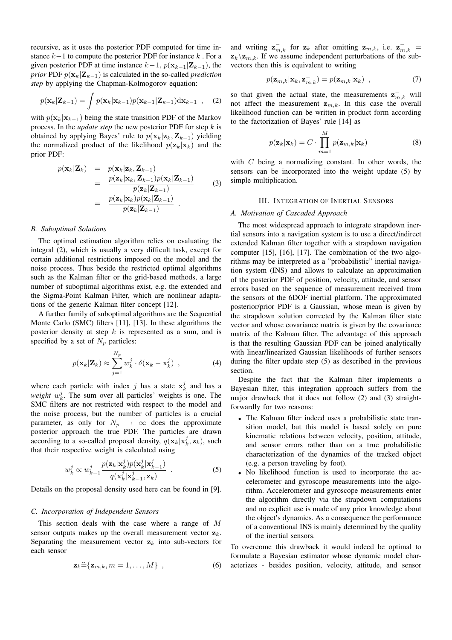recursive, as it uses the posterior PDF computed for time instance  $k-1$  to compute the posterior PDF for instance  $k$  . For a given posterior PDF at time instance  $k-1$ ,  $p(\mathbf{x}_{k-1}|\mathbf{Z}_{k-1})$ , the *prior* PDF  $p(\mathbf{x}_k|\mathbf{Z}_{k-1})$  is calculated in the so-called *prediction step* by applying the Chapman-Kolmogorov equation:

$$
p(\mathbf{x}_k|\mathbf{Z}_{k-1}) = \int p(\mathbf{x}_k|\mathbf{x}_{k-1})p(\mathbf{x}_{k-1}|\mathbf{Z}_{k-1})\mathrm{d}\mathbf{x}_{k-1} , \quad (2)
$$

with  $p(\mathbf{x}_k|\mathbf{x}_{k-1})$  being the state transition PDF of the Markov process. In the *update step* the new posterior PDF for step k is obtained by applying Bayes' rule to  $p(\mathbf{x}_k|\mathbf{z}_k, \mathbf{Z}_{k-1})$  yielding the normalized product of the likelihood  $p(\mathbf{z}_k|\mathbf{x}_k)$  and the prior PDF:

$$
p(\mathbf{x}_k|\mathbf{Z}_k) = p(\mathbf{x}_k|\mathbf{z}_k, \mathbf{Z}_{k-1})
$$
  
\n
$$
= \frac{p(\mathbf{z}_k|\mathbf{x}_k, \mathbf{Z}_{k-1})p(\mathbf{x}_k|\mathbf{Z}_{k-1})}{p(\mathbf{z}_k|\mathbf{Z}_{k-1})}
$$
  
\n
$$
= \frac{p(\mathbf{z}_k|\mathbf{x}_k)p(\mathbf{x}_k|\mathbf{Z}_{k-1})}{p(\mathbf{z}_k|\mathbf{Z}_{k-1})}.
$$
 (3)

#### *B. Suboptimal Solutions*

The optimal estimation algorithm relies on evaluating the integral (2), which is usually a very difficult task, except for certain additional restrictions imposed on the model and the noise process. Thus beside the restricted optimal algorithms such as the Kalman filter or the grid-based methods, a large number of suboptimal algorithms exist, e.g. the extended and the Sigma-Point Kalman Filter, which are nonlinear adaptations of the generic Kalman filter concept [12].

A further family of suboptimal algorithms are the Sequential Monte Carlo (SMC) filters [11], [13]. In these algorithms the posterior density at step  $k$  is represented as a sum, and is specified by a set of  $N_p$  particles:

$$
p(\mathbf{x}_k|\mathbf{Z}_k) \approx \sum_{j=1}^{N_p} w_k^j \cdot \delta(\mathbf{x}_k - \mathbf{x}_k^j) , \qquad (4)
$$

where each particle with index j has a state  $x_k^j$  and has a weight  $w_j^j$ . The sum over all particles' weights is one. The *weight*  $w_k^j$ . The sum over all particles' weights is one. The SMC filters are not restricted with respect to the model and SMC filters are not restricted with respect to the model and the noise process, but the number of particles is a crucial parameter, as only for  $N_p \rightarrow \infty$  does the approximate posterior approach the true PDF. The particles are drawn according to a so-called proposal density,  $q(\mathbf{x}_k|\mathbf{x}_k^j, \mathbf{z}_k)$ , such<br>that their respective weight is calculated using that their respective weight is calculated using

$$
w_k^j \propto w_{k-1}^j \frac{p(\mathbf{z}_k|\mathbf{x}_k^j)p(\mathbf{x}_k^j|\mathbf{x}_{k-1}^j)}{q(\mathbf{x}_k^j|\mathbf{x}_{k-1}^j,\mathbf{z}_k)} \quad . \tag{5}
$$

Details on the proposal density used here can be found in [9].

#### *C. Incorporation of Independent Sensors*

This section deals with the case where a range of M sensor outputs makes up the overall measurement vector  $\mathbf{z}_k$ . Separating the measurement vector  $z_k$  into sub-vectors for each sensor

$$
\mathbf{z}_k \widehat{=} \{ \mathbf{z}_{m,k}, m = 1, \dots, M \}, \qquad (6)
$$

and writing  $\mathbf{z}_{m,k}^-$  for  $\mathbf{z}_k$  after omitting  $\mathbf{z}_{m,k}$ , i.e.  $\mathbf{z}_{m,k}^-$  =  $z_k\backslash z_{m,k}$ . If we assume independent perturbations of the subvectors then this is equivalent to writing

$$
p(\mathbf{z}_{m,k}|\mathbf{x}_k,\mathbf{z}_{m,k}^-) = p(\mathbf{z}_{m,k}|\mathbf{x}_k) ,
$$
 (7)

so that given the actual state, the measurements  $\mathbf{z}_{m,k}^{\text{}}$  will not affect the measurement  $\mathbf{z}_{m,k}$ . In this case the overall not affect the measurement  $z_{m,k}$ . In this case the overall likelihood function can be written in product form according to the factorization of Bayes' rule [14] as

$$
p(\mathbf{z}_k|\mathbf{x}_k) = C \cdot \prod_{m=1}^{M} p(\mathbf{z}_{m,k}|\mathbf{x}_k)
$$
 (8)

with  $C$  being a normalizing constant. In other words, the sensors can be incorporated into the weight update (5) by simple multiplication.

# III. INTEGRATION OF INERTIAL SENSORS

## *A. Motivation of Cascaded Approach*

The most widespread approach to integrate strapdown inertial sensors into a navigation system is to use a direct/indirect extended Kalman filter together with a strapdown navigation computer [15], [16], [17]. The combination of the two algorithms may be interpreted as a "probabilistic" inertial navigation system (INS) and allows to calculate an approximation of the posterior PDF of position, velocity, attitude, and sensor errors based on the sequence of measurement received from the sensors of the 6DOF inertial platform. The approximated posterior/prior PDF is a Gaussian, whose mean is given by the strapdown solution corrected by the Kalman filter state vector and whose covariance matrix is given by the covariance matrix of the Kalman filter. The advantage of this approach is that the resulting Gaussian PDF can be joined analytically with linear/linearized Gaussian likelihoods of further sensors during the filter update step (5) as described in the previous section.

Despite the fact that the Kalman filter implements a Bayesian filter, this integration approach suffers from the major drawback that it does not follow (2) and (3) straightforwardly for two reasons:

- The Kalman filter indeed uses a probabilistic state transition model, but this model is based solely on pure kinematic relations between velocity, position, attitude, and sensor errors rather than on a true probabilistic characterization of the dynamics of the tracked object (e.g. a person traveling by foot).
- No likelihood function is used to incorporate the accelerometer and gyroscope measurements into the algorithm. Accelerometer and gyroscope measurements enter the algorithm directly via the strapdown computations and no explicit use is made of any prior knowledge about the object's dynamics. As a consequence the performance of a conventional INS is mainly determined by the quality of the inertial sensors.

To overcome this drawback it would indeed be optimal to formulate a Bayesian estimator whose dynamic model characterizes - besides position, velocity, attitude, and sensor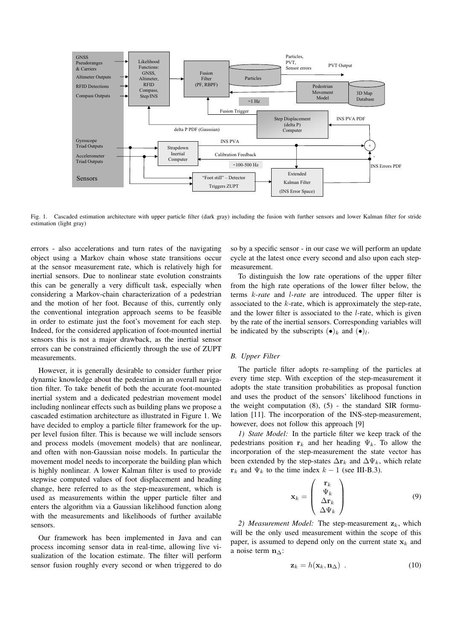

Fig. 1. Cascaded estimation architecture with upper particle filter (dark gray) including the fusion with further sensors and lower Kalman filter for stride estimation (light gray)

errors - also accelerations and turn rates of the navigating object using a Markov chain whose state transitions occur at the sensor measurement rate, which is relatively high for inertial sensors. Due to nonlinear state evolution constraints this can be generally a very difficult task, especially when considering a Markov-chain characterization of a pedestrian and the motion of her foot. Because of this, currently only the conventional integration approach seems to be feasible in order to estimate just the foot's movement for each step. Indeed, for the considered application of foot-mounted inertial sensors this is not a major drawback, as the inertial sensor errors can be constrained efficiently through the use of ZUPT measurements.

However, it is generally desirable to consider further prior dynamic knowledge about the pedestrian in an overall navigation filter. To take benefit of both the accurate foot-mounted inertial system and a dedicated pedestrian movement model including nonlinear effects such as building plans we propose a cascaded estimation architecture as illustrated in Figure 1. We have decided to employ a particle filter framework for the upper level fusion filter. This is because we will include sensors and process models (movement models) that are nonlinear, and often with non-Gaussian noise models. In particular the movement model needs to incorporate the building plan which is highly nonlinear. A lower Kalman filter is used to provide stepwise computed values of foot displacement and heading change, here referred to as the step-measurement, which is used as measurements within the upper particle filter and enters the algorithm via a Gaussian likelihood function along with the measurements and likelihoods of further available sensors.

Our framework has been implemented in Java and can process incoming sensor data in real-time, allowing live visualization of the location estimate. The filter will perform sensor fusion roughly every second or when triggered to do

so by a specific sensor - in our case we will perform an update cycle at the latest once every second and also upon each stepmeasurement.

To distinguish the low rate operations of the upper filter from the high rate operations of the lower filter below, the terms k*-rate* and l*-rate* are introduced. The upper filter is associated to the  $k$ -rate, which is approximately the step-rate, and the lower filter is associated to the l-rate, which is given by the rate of the inertial sensors. Corresponding variables will be indicated by the subscripts  $(\bullet)_k$  and  $(\bullet)_l$ .

## *B. Upper Filter*

The particle filter adopts re-sampling of the particles at every time step. With exception of the step-measurement it adopts the state transition probabilities as proposal function and uses the product of the sensors' likelihood functions in the weight computation  $(8)$ ,  $(5)$  - the standard SIR formulation [11]. The incorporation of the INS-step-measurement, however, does not follow this approach [9]

*1) State Model:* In the particle filter we keep track of the pedestrians position  $r_k$  and her heading  $\Psi_k$ . To allow the incorporation of the step-measurement the state vector has been extended by the step-states  $\Delta \mathbf{r}_k$  and  $\Delta \Psi_k$ , which relate  $\mathbf{r}_k$  and  $\Psi_k$  to the time index  $k - 1$  (see III-B.3).

$$
\mathbf{x}_k = \begin{pmatrix} \mathbf{r}_k \\ \Psi_k \\ \Delta \mathbf{r}_k \\ \Delta \Psi_k \end{pmatrix}
$$
 (9)

2) Measurement Model: The step-measurement  $z_k$ , which will be the only used measurement within the scope of this paper, is assumed to depend only on the current state  $x_k$  and a noise term **n**<sup>∆</sup>:

$$
\mathbf{z}_k = h(\mathbf{x}_k, \mathbf{n}_\Delta) \tag{10}
$$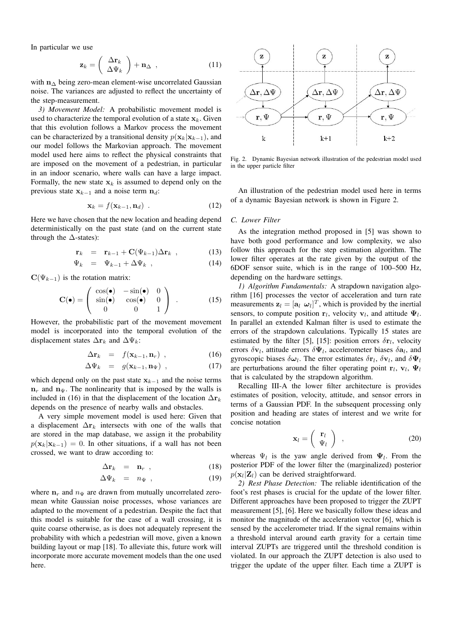In particular we use

$$
\mathbf{z}_k = \left(\begin{array}{c} \Delta \mathbf{r}_k \\ \Delta \Psi_k \end{array}\right) + \mathbf{n}_\Delta \quad , \tag{11}
$$

with **<sup>n</sup>**<sup>∆</sup> being zero-mean element-wise uncorrelated Gaussian noise. The variances are adjusted to reflect the uncertainty of the step-measurement.

*3) Movement Model:* A probabilistic movement model is used to characterize the temporal evolution of a state  $\mathbf{x}_k$ . Given that this evolution follows a Markov process the movement can be characterized by a transitional density  $p(\mathbf{x}_k|\mathbf{x}_{k-1})$ , and our model follows the Markovian approach. The movement model used here aims to reflect the physical constraints that are imposed on the movement of a pedestrian, in particular in an indoor scenario, where walls can have a large impact. Formally, the new state  $x_k$  is assumed to depend only on the previous state  $\mathbf{x}_{k-1}$  and a noise term  $\mathbf{n}_d$ :

$$
\mathbf{x}_k = f(\mathbf{x}_{k-1}, \mathbf{n}_d) \tag{12}
$$

Here we have chosen that the new location and heading depend deterministically on the past state (and on the current state through the  $\Delta$ -states):

$$
\mathbf{r}_k = \mathbf{r}_{k-1} + \mathbf{C}(\Psi_{k-1})\Delta \mathbf{r}_k , \qquad (13)
$$

$$
\Psi_k = \Psi_{k-1} + \Delta \Psi_k , \qquad (14)
$$

 $C(\Psi_{k-1})$  is the rotation matrix:

$$
\mathbf{C}(\bullet) = \begin{pmatrix} \cos(\bullet) & -\sin(\bullet) & 0 \\ \sin(\bullet) & \cos(\bullet) & 0 \\ 0 & 0 & 1 \end{pmatrix} . \tag{15}
$$

However, the probabilistic part of the movement movement model is incorporated into the temporal evolution of the displacement states  $\Delta$ **r**<sub>k</sub> and  $\Delta\Psi_k$ :

$$
\Delta \mathbf{r}_k = f(\mathbf{x}_{k-1}, \mathbf{n}_r) , \qquad (16)
$$

$$
\Delta\Psi_k = g(\mathbf{x}_{k-1}, \mathbf{n}_{\Psi}) , \qquad (17)
$$

which depend only on the past state  $\mathbf{x}_{k-1}$  and the noise terms  $n_r$  and  $n_\Psi$ . The nonlinearity that is imposed by the walls is included in (16) in that the displacement of the location  $\Delta \mathbf{r}_k$ depends on the presence of nearby walls and obstacles.

A very simple movement model is used here: Given that a displacement  $\Delta \mathbf{r}_k$  intersects with one of the walls that are stored in the map database, we assign it the probability  $p(\mathbf{x}_k|\mathbf{x}_{k-1})=0$ . In other situations, if a wall has not been crossed, we want to draw according to:

$$
\Delta \mathbf{r}_k = \mathbf{n}_r , \qquad (18)
$$

$$
\Delta\Psi_k = n_\Psi , \qquad (19)
$$

where  $\mathbf{n}_r$  and  $n_\Psi$  are drawn from mutually uncorrelated zeromean white Gaussian noise processes, whose variances are adapted to the movement of a pedestrian. Despite the fact that this model is suitable for the case of a wall crossing, it is quite coarse otherwise, as is does not adequately represent the probability with which a pedestrian will move, given a known building layout or map [18]. To alleviate this, future work will incorporate more accurate movement models than the one used here.



Fig. 2. Dynamic Bayesian network illustration of the pedestrian model used in the upper particle filter

An illustration of the pedestrian model used here in terms of a dynamic Bayesian network is shown in Figure 2.

#### *C. Lower Filter*

As the integration method proposed in [5] was shown to have both good performance and low complexity, we also follow this approach for the step estimation algorithm. The lower filter operates at the rate given by the output of the 6DOF sensor suite, which is in the range of 100–500 Hz, depending on the hardware settings.

*1) Algorithm Fundamentals:* A strapdown navigation algorithm [16] processes the vector of acceleration and turn rate measurements  $\mathbf{z}_l = [\mathbf{a}_l \ \boldsymbol{\omega}_l]^T$ , which is provided by the inertial sensors to compute position  $\mathbf{r}_l$ , velocity  $\mathbf{v}_l$  and attitude  $\mathbf{W}_l$ . sensors, to compute position  $\mathbf{r}_l$ , velocity  $\mathbf{v}_l$ , and attitude  $\Psi_l$ . In parallel an extended Kalman filter is used to estimate the errors of the strapdown calculations. Typically 15 states are estimated by the filter [5], [15]: position errors  $\delta r_l$ , velocity errors  $\delta \mathbf{v}_l$ , attitude errors  $\delta \mathbf{\Psi}_l$ , accelerometer biases  $\delta \mathbf{a}_l$ , and gyroscopic biases  $\delta \omega_l$ . The error estimates  $\delta \mathbf{r}_l$ ,  $\delta \mathbf{v}_l$ , and  $\delta \Psi_l$ are perturbations around the filter operating point  $\mathbf{r}_l$ ,  $\mathbf{v}_l$ ,  $\Psi_l$ that is calculated by the strapdown algorithm.

Recalling III-A the lower filter architecture is provides estimates of position, velocity, attitude, and sensor errors in terms of a Gaussian PDF. In the subsequent processing only position and heading are states of interest and we write for concise notation

$$
\mathbf{x}_l = \left(\begin{array}{c} \mathbf{r}_l \\ \Psi_l \end{array}\right) \quad , \tag{20}
$$

whereas  $\Psi_l$  is the yaw angle derived from  $\Psi_l$ . From the posterior PDF of the lower filter the (marginalized) posterior  $p(\mathbf{x}_l|\mathbf{Z}_l)$  can be derived straightforward.

*2) Rest Phase Detection:* The reliable identification of the foot's rest phases is crucial for the update of the lower filter. Different approaches have been proposed to trigger the ZUPT measurement [5], [6]. Here we basically follow these ideas and monitor the magnitude of the acceleration vector [6], which is sensed by the accelerometer triad. If the signal remains within a threshold interval around earth gravity for a certain time interval ZUPTs are triggered until the threshold condition is violated. In our approach the ZUPT detection is also used to trigger the update of the upper filter. Each time a ZUPT is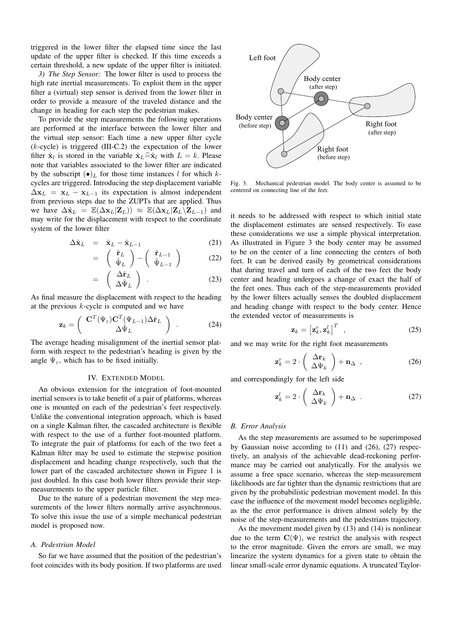triggered in the lower filter the elapsed time since the last update of the upper filter is checked. If this time exceeds a certain threshold, a new update of the upper filter is initiated.

*3) The Step Sensor:* The lower filter is used to process the high rate inertial measurements. To exploit them in the upper filter a (virtual) step sensor is derived from the lower filter in order to provide a measure of the traveled distance and the change in heading for each step the pedestrian makes.

To provide the step measurements the following operations are performed at the interface between the lower filter and the virtual step sensor: Each time a new upper filter cycle  $(k$ -cycle) is triggered (III-C.2) the expectation of the lower filter  $\hat{\mathbf{x}}_l$  is stored in the variable  $\hat{\mathbf{x}}_L \hat{=} \hat{\mathbf{x}}_l$  with  $L = k$ . Please note that variables associated to the lower filter are indicated by the subscript  $(\bullet)_L$  for those time instances l for which kcycles are triggered. Introducing the step displacement variable  $\Delta$ **x**<sub>L</sub> = **x**<sub>L</sub> − **x**<sub>L−1</sub> its expectation is almost independent from previous steps due to the ZUPTs that are applied. Thus we have  $\Delta \hat{x}_L = \mathbb{E}(\Delta x_L | \mathbf{Z}_L) \approx \mathbb{E}(\Delta x_L | \mathbf{Z}_L \setminus \mathbf{Z}_{L-1})$  and may write for the displacement with respect to the coordinate system of the lower filter

$$
\Delta \hat{\mathbf{x}}_L = \hat{\mathbf{x}}_L - \hat{\mathbf{x}}_{L-1} \tag{21}
$$

$$
= \begin{pmatrix} \hat{\mathbf{r}}_L \\ \hat{\Psi}_L \end{pmatrix} - \begin{pmatrix} \hat{\mathbf{r}}_{L-1} \\ \hat{\Psi}_{L-1} \end{pmatrix}
$$
 (22)

$$
= \left( \begin{array}{c} \Delta \hat{\mathbf{r}}_L \\ \Delta \hat{\Psi}_L \end{array} \right) . \tag{23}
$$

As final measure the displacement with respect to the heading at the previous k-cycle is computed and we have

$$
\mathbf{z}_{k} = \begin{pmatrix} \mathbf{C}^{T}(\Psi_{\varepsilon})\mathbf{C}^{T}(\Psi_{L-1})\Delta \hat{\mathbf{r}}_{L} \\ \Delta \hat{\Psi}_{L} \end{pmatrix} . \tag{24}
$$

The average heading misalignment of the inertial sensor platform with respect to the pedestrian's heading is given by the angle  $\Psi_{\varepsilon}$ , which has to be fixed initially.

## IV. EXTENDED MODEL

An obvious extension for the integration of foot-mounted inertial sensors is to take benefit of a pair of platforms, whereas one is mounted on each of the pedestrian's feet respectively. Unlike the conventional integration approach, which is based on a single Kalman filter, the cascaded architecture is flexible with respect to the use of a further foot-mounted platform. To integrate the pair of platforms for each of the two feet a Kalman filter may be used to estimate the stepwise position displacement and heading change respectively, such that the lower part of the cascaded architecture shown in Figure 1 is just doubled. In this case both lower filters provide their stepmeasurements to the upper particle filter.

Due to the nature of a pedestrian movement the step measurements of the lower filters normally arrive asynchronous. To solve this issue the use of a simple mechanical pedestrian model is proposed now.

#### *A. Pedestrian Model*

So far we have assumed that the position of the pedestrian's foot coincides with its body position. If two platforms are used



Fig. 3. Mechanical pedestrian model. The body center is assumed to be centered on connecting line of the feet.

it needs to be addressed with respect to which initial state the displacement estimates are sensed respectively. To ease these considerations we use a simple physical interpretation. As illustrated in Figure 3 the body center may be assumed to be on the center of a line connecting the centers of both feet. It can be derived easily by geometrical considerations that during travel and turn of each of the two feet the body center and heading undergoes a change of exact the half of the feet ones. Thus each of the step-measurements provided by the lower filters actually senses the doubled displacement and heading change with respect to the body center. Hence the extended vector of measurements is

$$
\mathbf{z}_k = \left[\mathbf{z}_k^r, \mathbf{z}_k^l\right]^T \quad , \tag{25}
$$

and we may write for the right foot measurements

$$
\mathbf{z}_k^r = 2 \cdot \left( \begin{array}{c} \Delta \mathbf{r}_k \\ \Delta \Psi_k \end{array} \right) + \mathbf{n}_\Delta \quad , \tag{26}
$$

and correspondingly for the left side

$$
\mathbf{z}_k^l = 2 \cdot \left( \begin{array}{c} \Delta \mathbf{r}_k \\ \Delta \Psi_k \end{array} \right) + \mathbf{n}_{\Delta} \quad . \tag{27}
$$

#### *B. Error Analysis*

As the step measurements are assumed to be superimposed by Gaussian noise according to (11) and (26), (27) respectively, an analysis of the achievable dead-reckoning performance may be carried out analytically. For the analysis we assume a free space scenario, whereas the step-measurement likelihoods are far tighter than the dynamic restrictions that are given by the probabilistic pedestrian movement model. In this case the influence of the movement model becomes negligible, as the the error performance is driven almost solely by the noise of the step-measurements and the pedestrians trajectory.

As the movement model given by (13) and (14) is nonlinear due to the term  $\mathbf{C}(\Psi)$ , we restrict the analysis with respect to the error magnitude. Given the errors are small, we may linearize the system dynamics for a given state to obtain the linear small-scale error dynamic equations. A truncated Taylor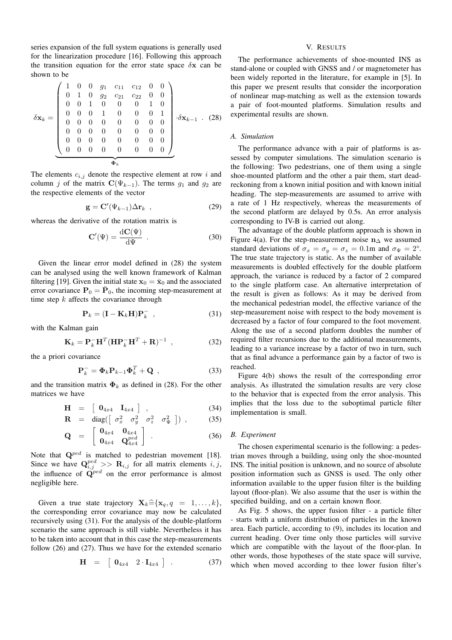series expansion of the full system equations is generally used for the linearization procedure [16]. Following this approach the transition equation for the error state space  $\delta$ **x** can be shown to be

$$
\delta \mathbf{x}_{k} = \begin{pmatrix}\n1 & 0 & 0 & g_{1} & c_{11} & c_{12} & 0 & 0 \\
0 & 1 & 0 & g_{2} & c_{21} & c_{22} & 0 & 0 \\
0 & 0 & 1 & 0 & 0 & 0 & 1 & 0 \\
0 & 0 & 0 & 1 & 0 & 0 & 0 & 1 \\
0 & 0 & 0 & 0 & 0 & 0 & 0 & 0 \\
0 & 0 & 0 & 0 & 0 & 0 & 0 & 0 \\
0 & 0 & 0 & 0 & 0 & 0 & 0 & 0 \\
0 & 0 & 0 & 0 & 0 & 0 & 0 & 0\n\end{pmatrix} \cdot \delta \mathbf{x}_{k-1} . (28)
$$

The elements  $c_{i,j}$  denote the respective element at row i and column j of the matrix  $C(\Psi_{k-1})$ . The terms  $g_1$  and  $g_2$  are the respective elements of the vector

$$
\mathbf{g} = \mathbf{C}'(\Psi_{k-1}) \Delta \mathbf{r}_k \quad , \tag{29}
$$

whereas the derivative of the rotation matrix is

$$
\mathbf{C}'(\Psi) = \frac{\mathrm{d}\mathbf{C}(\Psi)}{\mathrm{d}\Psi} \quad . \tag{30}
$$

Given the linear error model defined in (28) the system can be analysed using the well known framework of Kalman filtering [19]. Given the initial state  $\mathbf{x}_0 = \bar{\mathbf{x}}_0$  and the associated error covariance  $P_0 = \overline{P}_0$ , the incoming step-measurement at time step  $k$  affects the covariance through

$$
\mathbf{P}_k = (\mathbf{I} - \mathbf{K}_k \mathbf{H}) \mathbf{P}_k^- \tag{31}
$$

with the Kalman gain

$$
\mathbf{K}_k = \mathbf{P}_k^- \mathbf{H}^T (\mathbf{H} \mathbf{P}_k^- \mathbf{H}^T + \mathbf{R})^{-1} \tag{32}
$$

the a priori covariance

$$
\mathbf{P}_k^- = \mathbf{\Phi}_k \mathbf{P}_{k-1} \mathbf{\Phi}_k^T + \mathbf{Q} \quad , \tag{33}
$$

and the transition matrix  $\Phi_k$  as defined in (28). For the other matrices we have

$$
\mathbf{H} = \begin{bmatrix} \mathbf{0}_{4x4} & \mathbf{I}_{4x4} \end{bmatrix} , \tag{34}
$$

$$
\mathbf{R} = \text{diag}(\left[\begin{array}{cc} \sigma_x^2 & \sigma_y^2 & \sigma_z^2 & \sigma_\Psi^2 \end{array}\right]) , \qquad (35)
$$

$$
\mathbf{Q} = \begin{bmatrix} \mathbf{0}_{4x4} & \mathbf{0}_{4x4} \\ \mathbf{0}_{4x4} & \mathbf{Q}_{4x4}^{ped} \end{bmatrix} . \tag{36}
$$

Note that  $\mathbf{Q}^{ped}$  is matched to pedestrian movement [18]. Since we have  $\mathbf{Q}_{i,j}^{ped} \gg \mathbf{R}_{i,j}$  for all matrix elements  $i, j$ , the influence of  $\mathbf{Q}_{i}^{ped}$  on the error performance is elements the influence of  $\mathbf{Q}^{ped}$  on the error performance is almost<br>negligible here negligible here.

Given a true state trajectory  $\mathbf{X}_k \widehat{=} \{ \mathbf{x}_q, q = 1, \ldots, k \},\$ the corresponding error covariance may now be calculated recursively using (31). For the analysis of the double-platform scenario the same approach is still viable. Nevertheless it has to be taken into account that in this case the step-measurements follow (26) and (27). Thus we have for the extended scenario

$$
\mathbf{H} = \begin{bmatrix} \mathbf{0}_{4x4} & 2 \cdot \mathbf{I}_{4x4} \end{bmatrix} . \tag{37}
$$

# V. RESULTS

The performance achievements of shoe-mounted INS as stand-alone or coupled with GNSS and / or magnetometer has been widely reported in the literature, for example in [5]. In this paper we present results that consider the incorporation of nonlinear map-matching as well as the extension towards a pair of foot-mounted platforms. Simulation results and experimental results are shown.

## *A. Simulation*

The performance advance with a pair of platforms is assessed by computer simulations. The simulation scenario is the following: Two pedestrians, one of them using a single shoe-mounted platform and the other a pair them, start deadreckoning from a known initial position and with known initial heading. The step-measurements are assumed to arrive with a rate of 1 Hz respectively, whereas the measurements of the second platform are delayed by 0.5s. An error analysis corresponding to IV-B is carried out along.

The advantage of the double platform approach is shown in Figure 4(a). For the step-measurement noise  $n<sub>∆</sub>$  we assumed standard deviations of  $\sigma_x = \sigma_y = \sigma_z = 0.1$ m and  $\sigma_{\Psi} = 2^{\circ}$ . The true state trajectory is static. As the number of available measurements is doubled effectively for the double platform approach, the variance is reduced by a factor of 2 compared to the single platform case. An alternative interpretation of the result is given as follows: As it may be derived from the mechanical pedestrian model, the effective variance of the step-measurement noise with respect to the body movement is decreased by a factor of four compared to the foot movement. Along the use of a second platform doubles the number of required filter recursions due to the additional measurements, leading to a variance increase by a factor of two in turn, such that as final advance a performance gain by a factor of two is reached.

Figure 4(b) shows the result of the corresponding error analysis. As illustrated the simulation results are very close to the behavior that is expected from the error analysis. This implies that the loss due to the suboptimal particle filter implementation is small.

#### *B. Experiment*

The chosen experimental scenario is the following: a pedestrian moves through a building, using only the shoe-mounted INS. The initial position is unknown, and no source of absolute position information such as GNSS is used. The only other information available to the upper fusion filter is the building layout (floor-plan). We also assume that the user is within the specified building, and on a certain known floor.

As Fig. 5 shows, the upper fusion filter - a particle filter - starts with a uniform distribution of particles in the known area. Each particle, according to (9), includes its location and current heading. Over time only those particles will survive which are compatible with the layout of the floor-plan. In other words, those hypotheses of the state space will survive, which when moved according to thee lower fusion filter's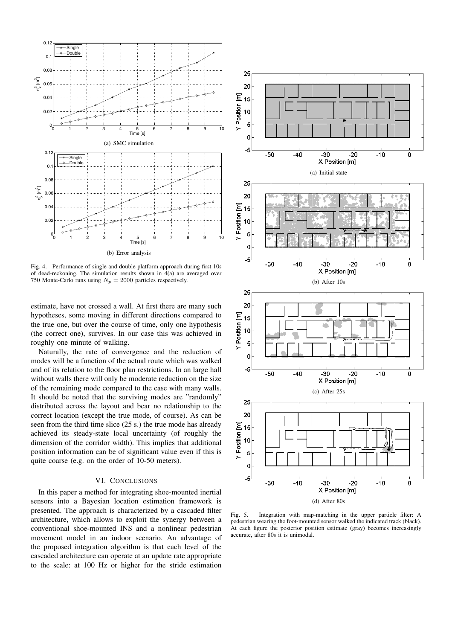

Fig. 4. Performance of single and double platform approach during first 10s of dead-reckoning. The simulation results shown in  $\overline{4}$ (a) are averaged over 750 Monte-Carlo runs using  $N_p = 2000$  particles respectively.

estimate, have not crossed a wall. At first there are many such hypotheses, some moving in different directions compared to the true one, but over the course of time, only one hypothesis (the correct one), survives. In our case this was achieved in roughly one minute of walking.

Naturally, the rate of convergence and the reduction of modes will be a function of the actual route which was walked and of its relation to the floor plan restrictions. In an large hall without walls there will only be moderate reduction on the size of the remaining mode compared to the case with many walls. It should be noted that the surviving modes are "randomly" distributed across the layout and bear no relationship to the correct location (except the true mode, of course). As can be seen from the third time slice (25 s.) the true mode has already achieved its steady-state local uncertainty (of roughly the dimension of the corridor width). This implies that additional position information can be of significant value even if this is quite coarse (e.g. on the order of 10-50 meters).

# VI. CONCLUSIONS

In this paper a method for integrating shoe-mounted inertial sensors into a Bayesian location estimation framework is presented. The approach is characterized by a cascaded filter architecture, which allows to exploit the synergy between a conventional shoe-mounted INS and a nonlinear pedestrian movement model in an indoor scenario. An advantage of the proposed integration algorithm is that each level of the cascaded architecture can operate at an update rate appropriate to the scale: at 100 Hz or higher for the stride estimation



Fig. 5. Integration with map-matching in the upper particle filter: A pedestrian wearing the foot-mounted sensor walked the indicated track (black). At each figure the posterior position estimate (gray) becomes increasingly accurate, after 80s it is unimodal.